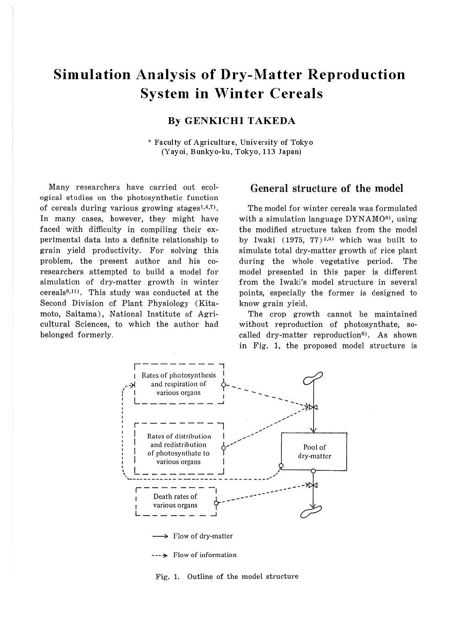# **Simulation Analysis of Dry-Matter Reproduction System in Winter Cereals**

## **By GENKICHI TAKEDA**

\* Faculty of Agriculture, University of Tokyo (Yayoi, Bunkyo-ku, Tokyo, 113 Japan)

Many researchers have carried out ecological studies on the photosynthetic function of cereals during various growing stages<sup>1,4,7</sup>. In many cases, however, they might have faced with difficulty in compiling their experimental data into a definite relationship to grain yield productivity. For solving this problem, the present author and his coresearchers attempted to build a model for simulation of dry-matter growth in winter  $cereals<sup>9,11</sup>$ . This study was conducted at the Second Division of Plant Physiology (Kitamoto, Saitama), National Institute of Agricultural Sciences, to which the author had belonged formerly.

## General structure of the model

The model for winter cereals was formulated with a simulation language  $DYNAMO<sup>8</sup>$ , using the modified structure taken from the model by Iwaki (1975, 77) 2, <sup>3</sup>> which was built to simulate total dry-matter growth of rice plant during the whole vegetative period. The model presented in this paper is different from the Iwaki's model structure in several points, especially the former is designed to know grain yield.

The crop growth cannot be maintained without reproduction of photosynthate, socalled dry-matter reproduction<sup>6)</sup>. As shown in Fig. l, the proposed model structure is



Fig. 1. Outline of the model structure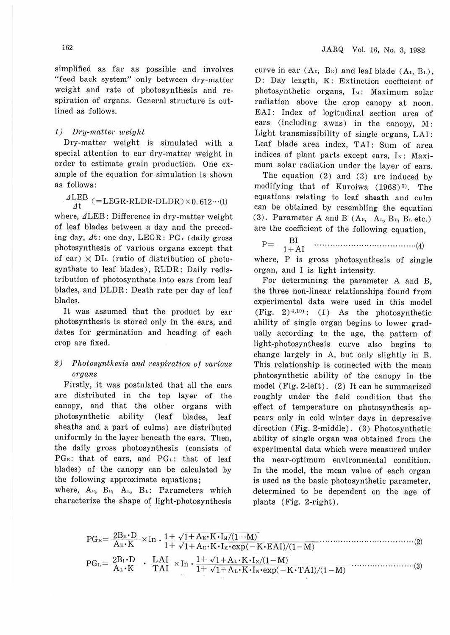simplified as far as possible and involves "feed back system" only between dry-matter weight and rate of photosynthesis and respiration of organs. General structure is outlined as follows.

### 1) *Dry-matter weight*

Dry-matter weight is simulated with a special attention to ear dry-matter weight in order to estimate grain production. One example of the equation for simulation is shown as follows:

# $\frac{dLEB}{dt} (= LEGR\text{-}RLDR\text{-}DLDR) \times 0.612\cdots (1)$

where,  $\angle$ LEB: Difference in dry-matter weight of leaf blades between a day and the preceding day,  $\Delta t$ : one day, LEGR: PG $\tau$  (daily gross photosynthesis of various organs except that of ear)  $\times$  DI<sub>1</sub>. (ratio of distribution of photosynthate to leaf blades), RLDR: Daily redistribution of photosynthate into ears from leaf blades, and DLDR: Death rate per day of leaf blades.

It was assumed that the product by ear photosynthesis is stored only in the ears, and dates for germination and heading of each crop are fixed.

### 2) Photosynthesis and respiration of various *organs*

Firstly, it was postulated that all the ears are distributed in the top layer of the canopy, and that the other organs with photosynthetic ability (leaf blades, leaf sheaths and a part of culms) are distributed uniformly in the layer beneath the ears. Then, the daily gross photosynthesis (consists of PG<sub>E</sub>: that of ears, and PG<sub>E</sub>: that of leaf hlades) of the canopy can be calculated by the following approximate equations;

where, A<sub>v</sub>, B<sub>v</sub>, A<sub>1</sub>, B<sub>1</sub>: Parameters which characterize the shape of light-photosynthesis

curve in ear  $(A_{r_1}, B_{r_2})$  and leaf blade  $(A_{r_1}, B_{r_1})$ , D: Day length, K: Extinction coefficient of photosynthetic organs, I<sub>M</sub>: Maximum solar radiation above the crop canopy at noon. EAI: Index of logitudinal section area of ears (including awns) in the canopy, M: Light transmissibility of single organs, LAI: Leaf blade area index, TAI: Sum of area indices of plant parts except ears,  $I<sub>x</sub>$ : Maximum solar radiation under the layer of ears.

The equation (2) and (3) are induced by modifying that of Kuroiwa (1968)<sup>5)</sup>. The equations relating to leaf sheath and culm can be obtained by resembling the equation (3). Parameter A and B  $(A_{v_1}, A_{v_2}, B_{v_3}, B_{v.}$  etc.) are the coefficient of the following equation,

P= 1 !~1 ............ .... ............. .......... (4)

where, P is gross photosynthesis of single organ, and I is light intensity.

For determining the parameter A and B, the three non-linear relationships found from experimental data were used in this model (Fig.  $2)$ <sup>4,10</sup>): (1) As the photosynthetic ability of single organ begins to lower gradually according to the age, the pattem of light-photosynthesis curve also begins to change largely in A, but only slightly in B. This relationship is connected with the mean photosynthetic ability of the canopy in the model (Fig. 2-Jeft). (2) It can be summarized roughly under the field condition that the effect of temperature on photosynthesis appears only in cold winter days in depressive direction (Fig. 2-middle). (3) Photosynthetic ability of single organ was obtained from the experimental data which were measured under the near-optimum environmental condition. In the model, the mean value of each organ is used as the basic photosynthetic parameter, determined to be dependent on the age of plants (Fig. 2-right).

$$
PG_{E} = \frac{2B_{E} \cdot D}{A_{E} \cdot K} \times In \cdot \frac{1 + \sqrt{1 + A_{E} \cdot K} \cdot I_{M}/(1 - M)}{1 + \sqrt{1 + A_{E} \cdot K} \cdot I_{M} \cdot \exp(-K \cdot EAI)/(1 - M)} \tag{2}
$$
\n
$$
PG_{L} = \frac{2B_{L} \cdot D}{A_{L} \cdot K} \cdot \frac{LAI}{TAI} \times In \cdot \frac{1 + \sqrt{1 + A_{L} \cdot K} \cdot I_{N}/(1 - M)}{1 + \sqrt{1 + A_{L} \cdot K} \cdot I_{N} \cdot \exp(-K \cdot TAI)/(1 - M)} \tag{3}
$$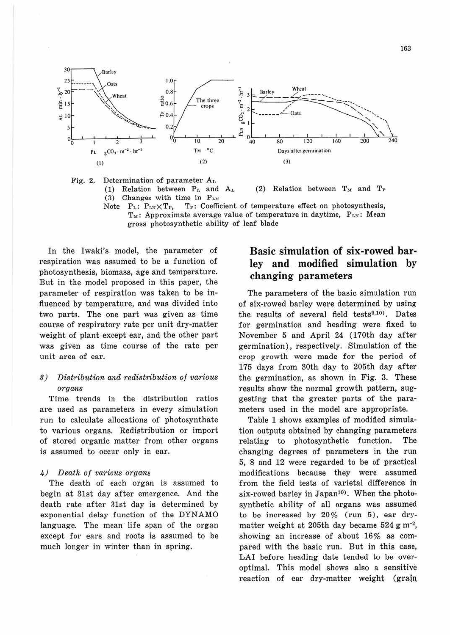

Fig. 2. Determination of parameter  $A_{I}$ .

(1) Relation between  $P_L$  and  $A_L$  $(3)$ Changes with time in  $P_{LN}$ 

(2) Relation between  $T_M$  and  $T_P$ 

Note  $P_L$ :  $P_{LN}\times T_P$ , T<sub>r</sub>: Coefficient of temperature effect on photosynthesis, T<sub>M</sub>: Approximate average value of temperature in daytime, P<sub>LN</sub>: Mean gross photosynthetic ability of leaf blade

In the Iwaki's model, the parameter of respiration was assumed to be a function of photosynthesis, biomass, age and temperature. But in the model proposed in this paper, the parameter of respiration was taken to be influenced by temperature, and was divided into two parts. The one part was given as time course of respiratory rate per unit dry-matter weight of plant except ear, and the other part was given as time course of the rate per unit area of ear.

#### Distribution and redistribution of various  $3)$ organs

Time trends in the distribution ratios are used as parameters in every simulation run to calculate allocations of photosynthate to various organs. Redistribution or import of stored organic matter from other organs is assumed to occur only in ear.

#### Death of various organs  $\mu$ )

The death of each organ is assumed to begin at 31st day after emergence. And the death rate after 31st day is determined by exponential delay function of the DYNAMO language. The mean life span of the organ except for ears and roots is assumed to be much longer in winter than in spring.

## Basic simulation of six-rowed barlev and modified simulation by changing parameters

The parameters of the basic simulation run of six-rowed barley were determined by using the results of several field tests<sup>9,10</sup>). Dates for germination and heading were fixed to November 5 and April 24 (170th day after germination), respectively. Simulation of the crop growth were made for the period of 175 days from 30th day to 205th day after the germination, as shown in Fig. 3. These results show the normal growth pattern, suggesting that the greater parts of the parameters used in the model are appropriate.

Table 1 shows examples of modified simulation outputs obtained by changing parameters relating to photosynthetic function. The changing degrees of parameters in the run 5, 8 and 12 were regarded to be of practical modifications because they were assumed from the field tests of varietal difference in six-rowed barley in Japan<sup>10)</sup>. When the photosynthetic ability of all organs was assumed to be increased by  $20\%$  (run 5), ear drymatter weight at 205th day became 524 g m<sup>-2</sup>, showing an increase of about 16% as compared with the basic run. But in this case, LAI before heading date tended to be overoptimal. This model shows also a sensitive reaction of ear dry-matter weight (grain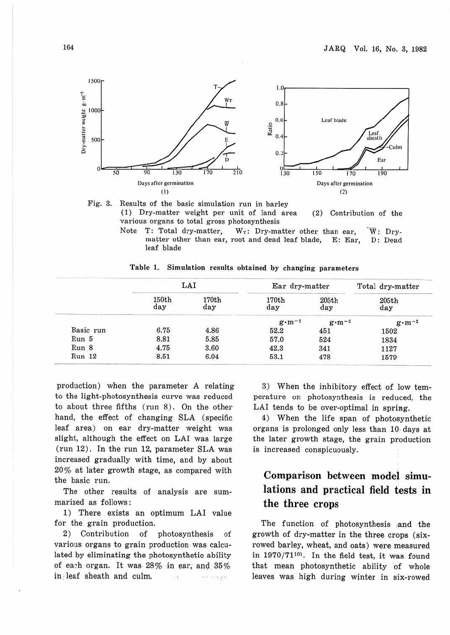



( 1) Dry-matter weight per unit of land area various organs to total gross photosynthesis (2) Contribution of the

Note T: Total dry-matter,  $W_T$ : Dry-matter other than ear.  $\overline{W}$ : Drymatter other than ear, root and dead leaf blade, E: Ear, D: Dead leaf blade

|           | LAI          |              | Ear dry-matter   |                  | Total dry-matter |  |
|-----------|--------------|--------------|------------------|------------------|------------------|--|
|           | 150th<br>day | 170th<br>day | 170th<br>day     | 205th<br>day     | 205th<br>day     |  |
|           |              |              | $g \cdot m^{-2}$ | $g \cdot m^{-2}$ | $g \cdot m^{-2}$ |  |
| Basic run | 6.75         | 4.86         | 52.2             | 451              | 1502             |  |
| Run 5     | 8.81         | 5.85         | 57.0             | 524              | 1834             |  |
| Run 8     | 4.75         | 3.60         | 42.3             | 341              | 1127             |  |
| Run 12    | 8.51         | 6.04         | 53.1             | 478              | 1579             |  |

**Table 1. Simulation results obtained by changing parameters** 

production) when the parameter A relating to the light-photosynthesis curve was reduced to about three fifths (run 8). On the other hand, the effect of changing SLA (specific leaf area) on ear dry-matter weight was slight, although the effect on LAI was large (run 12). In the run 12, parameter SLA was increased gradually with time, and by about 20% at later growth stage, as compared with the basic run.

The other results of analysis are summarized as follows :

1) There exists an optimum LAI value for the grain production.

2) Contribution of photosynthesis of various organs to grain production was calculated by eliminating the photosynthetic ability of each organ. It was  $28\%$  in ear; and  $35\%$ in leaf sheath and culm. en en pe 5.

3) When the inhibitory effect of low temperature on photosynthesis is reduced, the LAI tends to be over-optimal in spring.

4) When the life span of photosynthetic organs is prolonged only less than 10, days at the later growth stage, the grain production is increased conspicuously.

# **Comparison between model simulations and practical field tests in the three crops**

The function of photosynthesis and the growth of dry-matter in the three crops **(six**rowed barley, wheat, and oats) were measured in  $1970 / 71^{10}$ . In the field test, it was found that mean photosynthetic ability of whole leaves was high during winter in six-rowed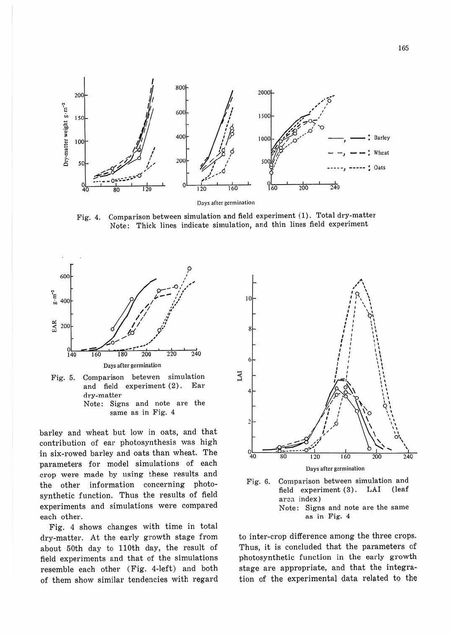

Comparison between simulation and field experiment (1). Total dry-matter Fig. 4. Note: Thick lines indicate simulation, and thin lines field experiment



and field experiment (2). Ear dry-matter Note: Signs and note are the same as in Fig. 4

barley and wheat but low in oats, and that contribution of ear photosynthesis was high in six-rowed barley and oats than wheat. The parameters for model simulations of each crop were made by using these results and the other information concerning photosynthetic function. Thus the results of field experiments and simulations were compared each other.

Fig. 4 shows changes with time in total dry-matter. At the early growth stage from about 50th day to 110th day, the result of field experiments and that of the simulations resemble each other (Fig. 4-left) and both of them show similar tendencies with regard





to inter-crop difference among the three crops. Thus, it is concluded that the parameters of photosynthetic function in the early growth stage are appropriate, and that the integration of the experimental data related to the